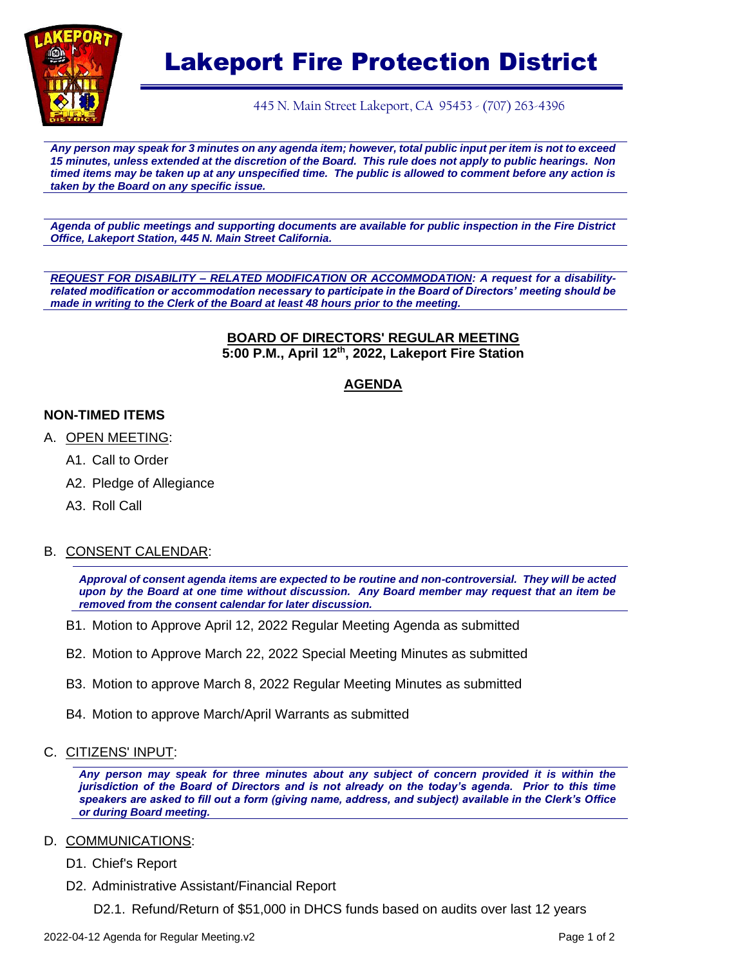

# Lakeport Fire Protection District

445 N. Main Street Lakeport, CA 95453 - (707) 263-4396

*Any person may speak for 3 minutes on any agenda item; however, total public input per item is not to exceed 15 minutes, unless extended at the discretion of the Board. This rule does not apply to public hearings. Non timed items may be taken up at any unspecified time. The public is allowed to comment before any action is taken by the Board on any specific issue.* 

*Agenda of public meetings and supporting documents are available for public inspection in the Fire District Office, Lakeport Station, 445 N. Main Street California.*

*REQUEST FOR DISABILITY – RELATED MODIFICATION OR ACCOMMODATION: A request for a disabilityrelated modification or accommodation necessary to participate in the Board of Directors' meeting should be made in writing to the Clerk of the Board at least 48 hours prior to the meeting.*

#### **BOARD OF DIRECTORS' REGULAR MEETING 5:00 P.M., April 12th, 2022, Lakeport Fire Station**

## **AGENDA**

## **NON-TIMED ITEMS**

- A. OPEN MEETING:
	- A1. Call to Order
	- A2. Pledge of Allegiance
	- A3. Roll Call

## B. CONSENT CALENDAR:

*Approval of consent agenda items are expected to be routine and non-controversial. They will be acted upon by the Board at one time without discussion. Any Board member may request that an item be removed from the consent calendar for later discussion.*

- B1. Motion to Approve April 12, 2022 Regular Meeting Agenda as submitted
- B2. Motion to Approve March 22, 2022 Special Meeting Minutes as submitted
- B3. Motion to approve March 8, 2022 Regular Meeting Minutes as submitted
- B4. Motion to approve March/April Warrants as submitted

### C. CITIZENS' INPUT:

*Any person may speak for three minutes about any subject of concern provided it is within the jurisdiction of the Board of Directors and is not already on the today's agenda. Prior to this time speakers are asked to fill out a form (giving name, address, and subject) available in the Clerk's Office or during Board meeting.*

### D. COMMUNICATIONS:

- D1. Chief's Report
- D2. Administrative Assistant/Financial Report
	- D2.1. Refund/Return of \$51,000 in DHCS funds based on audits over last 12 years